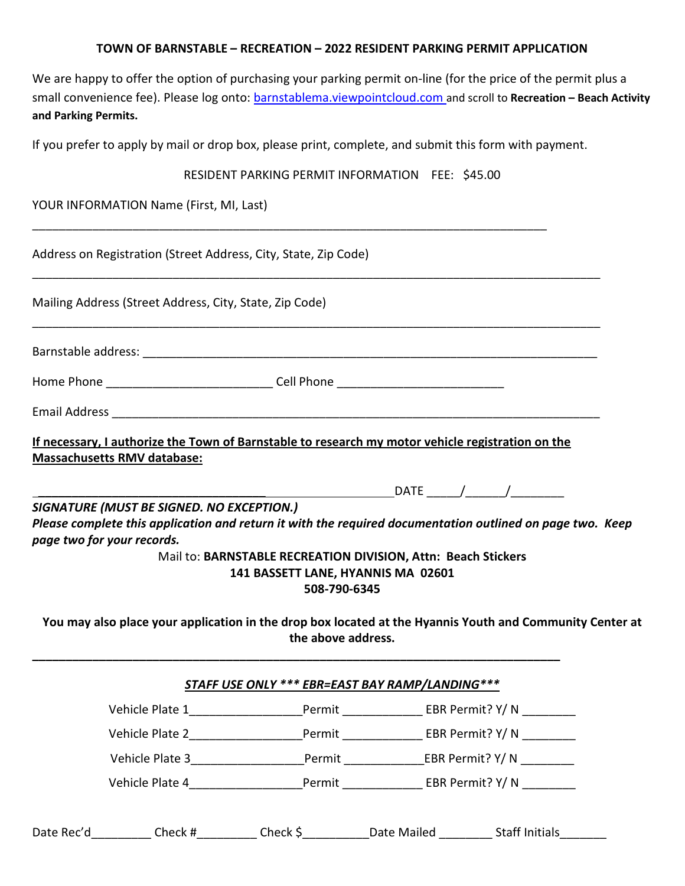#### **TOWN OF BARNSTABLE – RECREATION – 2022 RESIDENT PARKING PERMIT APPLICATION**

We are happy to offer the option of purchasing your parking permit on-line (for the price of the permit plus a small convenience fee). Please log onto: barnstablema.viewpointcloud.com and scroll to **Recreation – Beach Activity and Parking Permits.**

If you prefer to apply by mail or drop box, please print, complete, and submit this form with payment.

|                                                                 |                                                                                                                                                                                                                                                                                                   | RESIDENT PARKING PERMIT INFORMATION FEE: \$45.00                                                                    |  |                                 |  |  |  |
|-----------------------------------------------------------------|---------------------------------------------------------------------------------------------------------------------------------------------------------------------------------------------------------------------------------------------------------------------------------------------------|---------------------------------------------------------------------------------------------------------------------|--|---------------------------------|--|--|--|
|                                                                 | YOUR INFORMATION Name (First, MI, Last)                                                                                                                                                                                                                                                           |                                                                                                                     |  |                                 |  |  |  |
| Address on Registration (Street Address, City, State, Zip Code) |                                                                                                                                                                                                                                                                                                   |                                                                                                                     |  |                                 |  |  |  |
|                                                                 | Mailing Address (Street Address, City, State, Zip Code)                                                                                                                                                                                                                                           |                                                                                                                     |  |                                 |  |  |  |
|                                                                 |                                                                                                                                                                                                                                                                                                   |                                                                                                                     |  |                                 |  |  |  |
|                                                                 | Home Phone _______________________________Cell Phone ___________________________                                                                                                                                                                                                                  |                                                                                                                     |  |                                 |  |  |  |
|                                                                 |                                                                                                                                                                                                                                                                                                   |                                                                                                                     |  |                                 |  |  |  |
|                                                                 | If necessary, I authorize the Town of Barnstable to research my motor vehicle registration on the<br><b>Massachusetts RMV database:</b><br>SIGNATURE (MUST BE SIGNED. NO EXCEPTION.)<br>Please complete this application and return it with the required documentation outlined on page two. Keep |                                                                                                                     |  | _DATE _______/ _______/ _______ |  |  |  |
|                                                                 | page two for your records.                                                                                                                                                                                                                                                                        | Mail to: BARNSTABLE RECREATION DIVISION, Attn: Beach Stickers<br>141 BASSETT LANE, HYANNIS MA 02601<br>508-790-6345 |  |                                 |  |  |  |
|                                                                 | You may also place your application in the drop box located at the Hyannis Youth and Community Center at                                                                                                                                                                                          | the above address.                                                                                                  |  |                                 |  |  |  |
|                                                                 |                                                                                                                                                                                                                                                                                                   | <b>STAFF USE ONLY *** EBR=EAST BAY RAMP/LANDING ***</b>                                                             |  |                                 |  |  |  |
|                                                                 | Vehicle Plate 1___________________________Permit _____________________EBR Permit? Y/ N ___________                                                                                                                                                                                                |                                                                                                                     |  |                                 |  |  |  |
|                                                                 | Vehicle Plate 2_________________________Permit __________________EBR Permit? Y/ N __________                                                                                                                                                                                                      |                                                                                                                     |  |                                 |  |  |  |
|                                                                 | Vehicle Plate 3_________________________Permit _________________EBR Permit? Y/ N __________                                                                                                                                                                                                       |                                                                                                                     |  |                                 |  |  |  |
|                                                                 | Vehicle Plate 4________________________Permit _________________EBR Permit? Y/ N __________                                                                                                                                                                                                        |                                                                                                                     |  |                                 |  |  |  |
|                                                                 | Date Rec'd___________ Check #___________ Check \$____________Date Mailed _________ Staff Initials________                                                                                                                                                                                         |                                                                                                                     |  |                                 |  |  |  |